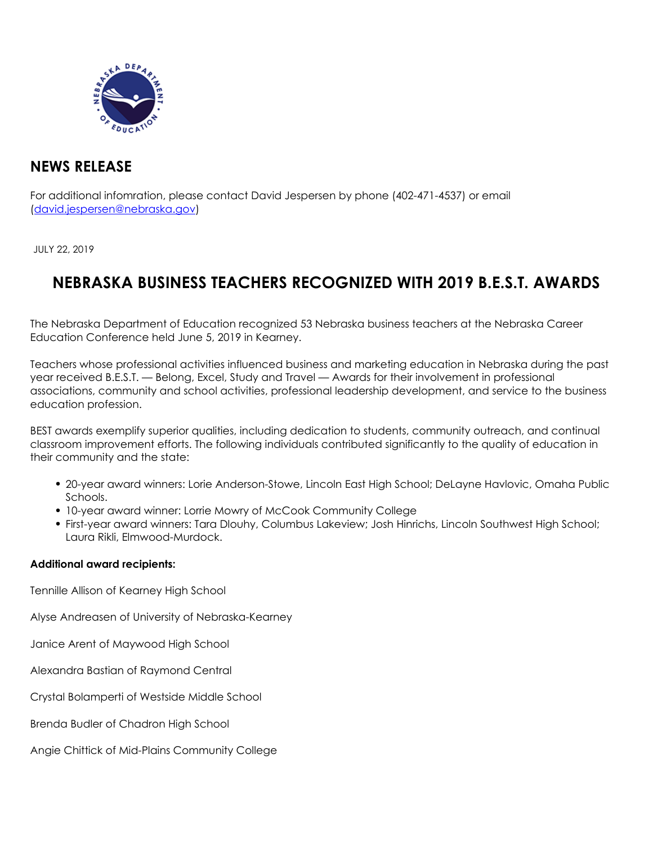

## **NEWS RELEASE**

For additional infomration, please contact David Jespersen by phone (402-471-4537) or email (david.jespersen@nebraska.gov)

JULY 22, 2019

## **NEBRASKA BUSINESS TEACHERS RECOGNIZED WITH 2019 B.E.S.T. AWARDS**

The Nebraska Department of Education recognized 53 Nebraska business teachers at the Nebraska Career Education Conference held June 5, 2019 in Kearney.

Teachers whose professional activities influenced business and marketing education in Nebraska during the past year received B.E.S.T. — Belong, Excel, Study and Travel — Awards for their involvement in professional associations, community and school activities, professional leadership development, and service to the business education profession.

BEST awards exemplify superior qualities, including dedication to students, community outreach, and continual classroom improvement efforts. The following individuals contributed significantly to the quality of education in their community and the state:

- 20-year award winners: Lorie Anderson-Stowe, Lincoln East High School; DeLayne Havlovic, Omaha Public Schools.
- 10-year award winner: Lorrie Mowry of McCook Community College
- First-year award winners: Tara Dlouhy, Columbus Lakeview; Josh Hinrichs, Lincoln Southwest High School; Laura Rikli, Elmwood-Murdock.

## **Additional award recipients:**

Tennille Allison of Kearney High School

Alyse Andreasen of University of Nebraska-Kearney

Janice Arent of Maywood High School

Alexandra Bastian of Raymond Central

Crystal Bolamperti of Westside Middle School

Brenda Budler of Chadron High School

Angie Chittick of Mid-Plains Community College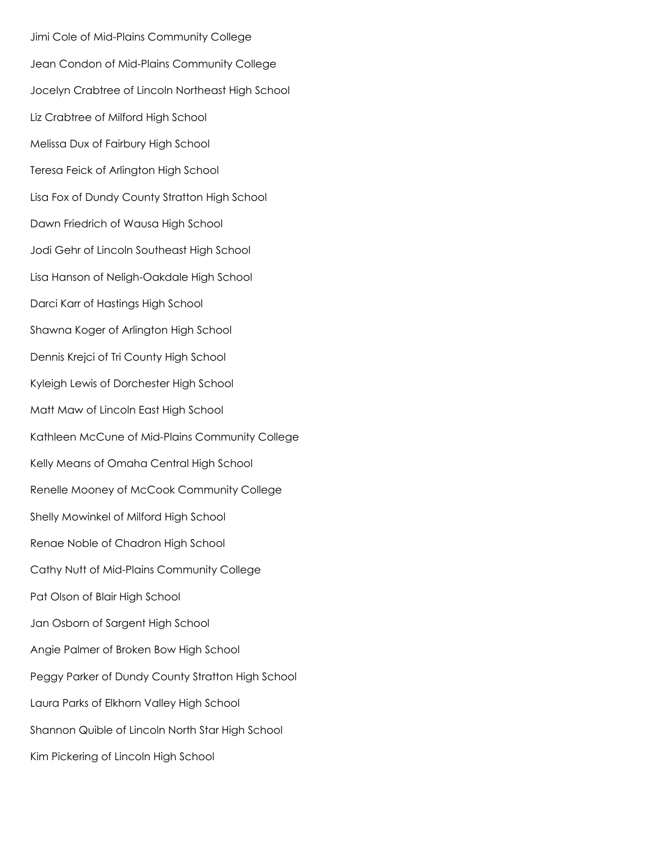Jimi Cole of Mid-Plains Community College Jean Condon of Mid-Plains Community College Jocelyn Crabtree of Lincoln Northeast High School Liz Crabtree of Milford High School Melissa Dux of Fairbury High School Teresa Feick of Arlington High School Lisa Fox of Dundy County Stratton High School Dawn Friedrich of Wausa High School Jodi Gehr of Lincoln Southeast High School Lisa Hanson of Neligh-Oakdale High School Darci Karr of Hastings High School Shawna Koger of Arlington High School Dennis Krejci of Tri County High School Kyleigh Lewis of Dorchester High School Matt Maw of Lincoln East High School Kathleen McCune of Mid-Plains Community College Kelly Means of Omaha Central High School Renelle Mooney of McCook Community College Shelly Mowinkel of Milford High School Renae Noble of Chadron High School Cathy Nutt of Mid-Plains Community College Pat Olson of Blair High School Jan Osborn of Sargent High School Angie Palmer of Broken Bow High School Peggy Parker of Dundy County Stratton High School Laura Parks of Elkhorn Valley High School Shannon Quible of Lincoln North Star High School Kim Pickering of Lincoln High School